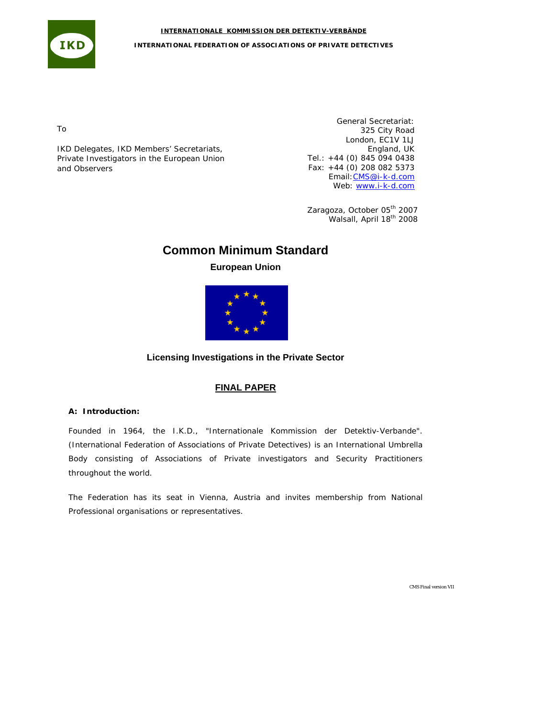**IKD INTERNATIONAL FEDERATION OF ASSOCIATIONS OF PRIVATE DETECTIVES**

To

IKD Delegates, IKD Members' Secretariats, Private Investigators in the European Union and Observers

General Secretariat: 325 City Road London, EC1V 1LJ England, UK Tel.: +44 (0) 845 094 0438 Fax: +44 (0) 208 082 5373 Email:[CMS@i-k-d.com](mailto:CMS@i-k-d.com) Web: [www.i-k-d.com](http://www.i-k-d.com/)

Zaragoza, October 05<sup>th</sup> 2007 Walsall, April 18<sup>th</sup> 2008

# **Common Minimum Standard**

**INTERNATIONALE KOMMISSION DER DETEKTIV-VERBÄNDE**

## **European Union**



## **Licensing Investigations in the Private Sector**

## **FINAL PAPER**

## **A: Introduction:**

Founded in 1964, the I.K.D., "Internationale Kommission der Detektiv-Verbande". (International Federation of Associations of Private Detectives) is an International Umbrella Body consisting of Associations of Private investigators and Security Practitioners throughout the world.

The Federation has its seat in Vienna, Austria and invites membership from National Professional organisations or representatives.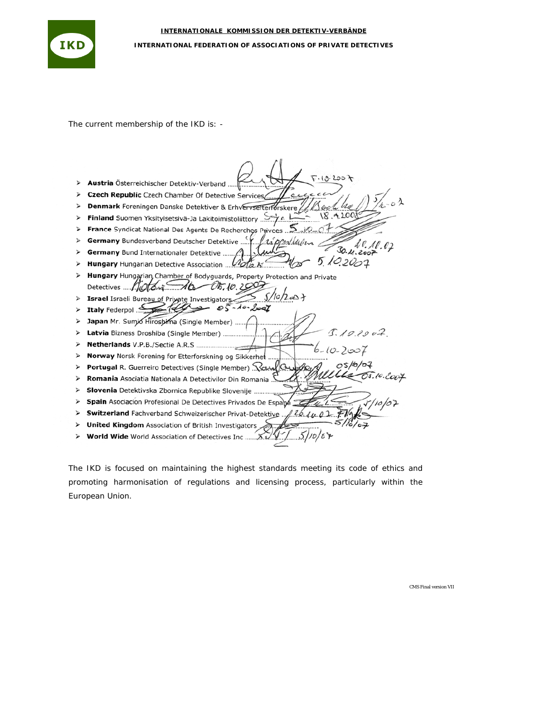

The current membership of the IKD is: -

|   | F.13.2007<br>Austria Österreichischer Detektiv-Verband                          |
|---|---------------------------------------------------------------------------------|
|   | Czech Republic Czech Chamber Of Detective Services<br>eu                        |
|   | Denmark Foreningen Danske Detektiver & Erhvervsefterførskere                    |
|   | 18.420089<br>Finland Suomen Yksityisetsivä-Ja Lakitoimistoliittory 24.1         |
|   | France Syndicat National Des Agents De Recherches Privees 2000                  |
|   |                                                                                 |
|   | 30.41.202                                                                       |
|   | 10.2007                                                                         |
|   | Hungary Hungarian, Chamber of Bodyguards, Property Protection and Private       |
|   | 0.29<br>Detectives $\mu$ $\alpha$                                               |
|   | 5/10/2007<br>Israel Israeli Bureau of Private Investigators                     |
|   | $85 - 10 - 2001$<br>Ttaly Federpol                                              |
|   | Japan Mr. Sumio Hiroshima (Single Member)                                       |
|   | 1.192002<br>Latvia Bizness Droshiba (Single Member)                             |
|   |                                                                                 |
| ⋗ | Norway Norsk Forening for Etterforskning og Sikkerhet                           |
|   | 05/0/07<br>Portugal R. Guerreiro Detectives (Single Member) Xct 100             |
| ⋗ | Romania Asociatia Nationala A Detectivilor Din Romania                          |
| ⋗ | Slovenia Detektivska Zbornica Republike Slovenije                               |
| ↘ | $\sqrt{10/07}$<br>Spain Asociacion Profesional De Detectives Privados De Espabé |
|   | Switzerland Fachverband Schweizerischer Privat-Detektive<br>126.1002 FV         |
|   | United Kingdom Association of British Investigators                             |
|   |                                                                                 |
|   |                                                                                 |

The IKD is focused on maintaining the highest standards meeting its code of ethics and promoting harmonisation of regulations and licensing process, particularly within the European Union.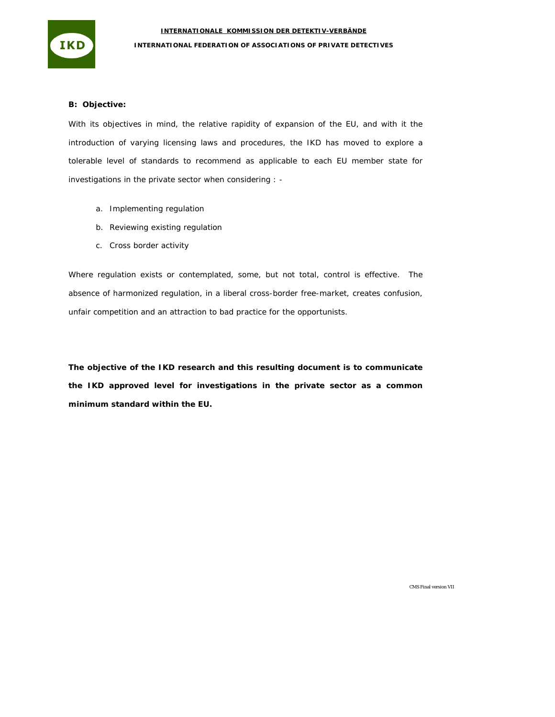



### **B: Objective:**

With its objectives in mind, the relative rapidity of expansion of the EU, and with it the introduction of varying licensing laws and procedures, the IKD has moved to explore a tolerable level of standards to recommend as applicable to each EU member state for investigations in the private sector when considering : -

- a. Implementing regulation
- b. Reviewing existing regulation
- c. Cross border activity

Where regulation exists or contemplated, some, but not total, control is effective. The absence of harmonized regulation, in a liberal cross-border free-market, creates confusion, unfair competition and an attraction to bad practice for the opportunists.

**The objective of the IKD research and this resulting document is to communicate the IKD approved level for investigations in the private sector as a common minimum standard within the EU.**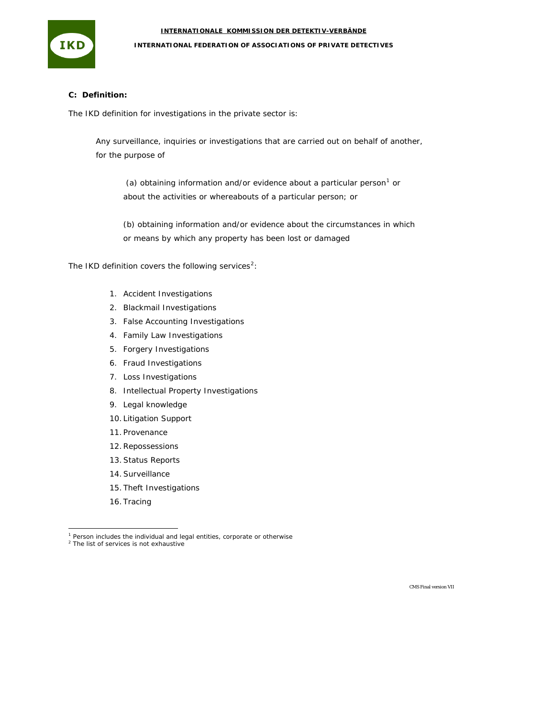

## **INTERNATIONAL FEDERATION OF ASSOCIATIONS OF PRIVATE DETECTIVES**

## **C: Definition:**

The IKD definition for investigations in the private sector is:

*Any surveillance, inquiries or investigations that are carried out on behalf of another, for the purpose of* 

 *(a) obtaining information and/or evidence about a particular person[1](#page-3-0) or about the activities or whereabouts of a particular person; or* 

*(b) obtaining information and/or evidence about the circumstances in which or means by which any property has been lost or damaged* 

The IKD definition covers the following services<sup>[2](#page-3-1)</sup>:

- 1. Accident Investigations
- 2. Blackmail Investigations
- 3. False Accounting Investigations
- 4. Family Law Investigations
- 5. Forgery Investigations
- 6. Fraud Investigations
- 7. Loss Investigations
- 8. Intellectual Property Investigations
- 9. Legal knowledge
- 10. Litigation Support
- 11. Provenance
- 12. Repossessions
- 13. Status Reports
- 14. Surveillance
- 15. Theft Investigations
- 16. Tracing

<sup>&</sup>lt;sup>1</sup> Person includes the individual and legal entities, corporate or otherwise<br><sup>2</sup> The list of services is not exhaustive

<span id="page-3-1"></span><span id="page-3-0"></span>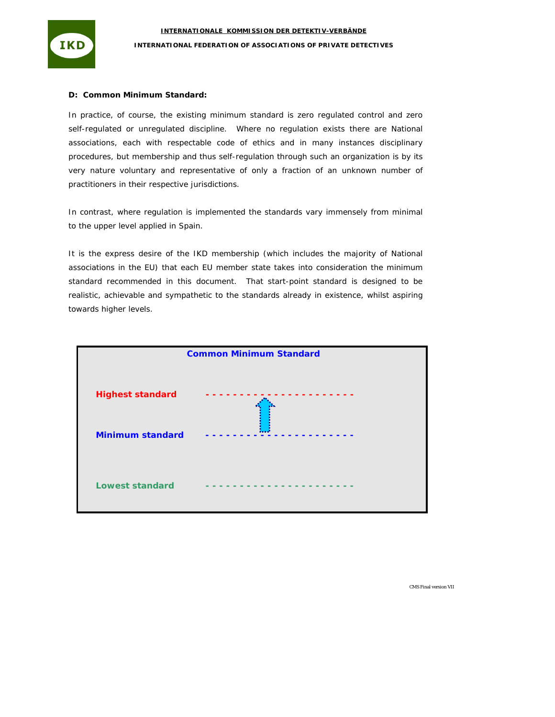

IKD

In practice, of course, the existing minimum standard is zero regulated control and zero self-regulated or unregulated discipline. Where no regulation exists there are National associations, each with respectable code of ethics and in many instances disciplinary procedures, but membership and thus self-regulation through such an organization is by its very nature voluntary and representative of only a fraction of an unknown number of practitioners in their respective jurisdictions.

In contrast, where regulation is implemented the standards vary immensely from minimal to the upper level applied in Spain.

It is the express desire of the IKD membership (which includes the majority of National associations in the EU) that each EU member state takes into consideration the minimum standard recommended in this document. That start-point standard is designed to be realistic, achievable and sympathetic to the standards already in existence, whilst aspiring towards higher levels.

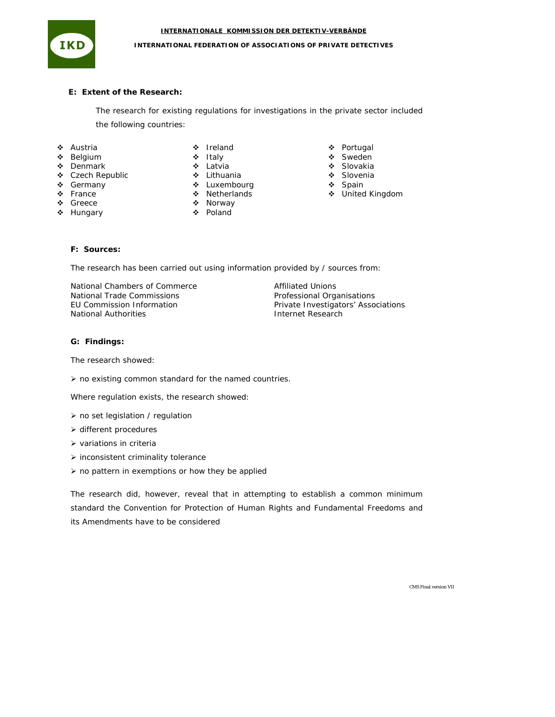

#### **INTERNATIONAL FEDERATION OF ASSOCIATIONS OF PRIVATE DETECTIVES**

### **E: Extent of the Research:**

The research for existing regulations for investigations in the private sector included the following countries:

- Austria
- 
- Belgium
- ❖ Denmark
- Czech Republic
- ❖ Germany  $\div$  France
- 
- Greece
- ❖ Hungary
- ❖ Ireland ❖ Italy
- Latvia
- Lithuania
- **\*** Luxembourg
- ❖ Netherlands
- ❖ Norway
- Poland
- Portugal
- Sweden
- ❖ Slovakia
- Slovenia
- ❖ Spain
- United Kingdom

## **F: Sources:**

The research has been carried out using information provided by / sources from:

National Chambers of Commerce National Trade Commissions EU Commission Information National Authorities

Affiliated Unions Professional Organisations Private Investigators' Associations Internet Research

### **G: Findings:**

The research showed:

 $\triangleright$  no existing common standard for the named countries.

Where regulation exists, the research showed:

- $\triangleright$  no set legislation / regulation
- ¾ different procedures
- $\triangleright$  variations in criteria
- $\triangleright$  inconsistent criminality tolerance
- $\triangleright$  no pattern in exemptions or how they be applied

The research did, however, reveal that in attempting to establish a common minimum standard the Convention for Protection of Human Rights and Fundamental Freedoms and its Amendments have to be considered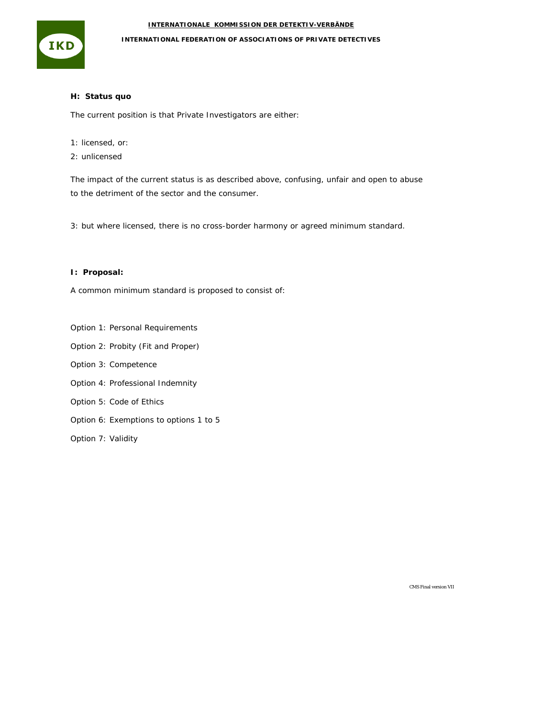

## **INTERNATIONAL FEDERATION OF ASSOCIATIONS OF PRIVATE DETECTIVES**

## **H: Status quo**

The current position is that Private Investigators are either:

- 1: licensed, or:
- 2: unlicensed

The impact of the current status is as described above, confusing, unfair and open to abuse to the detriment of the sector and the consumer.

3: but where licensed, there is no cross-border harmony or agreed minimum standard.

## **I: Proposal:**

A common minimum standard is proposed to consist of:

Option 1: Personal Requirements

Option 2: Probity (Fit and Proper)

- Option 3: Competence
- Option 4: Professional Indemnity
- Option 5: Code of Ethics
- Option 6: Exemptions to options 1 to 5

Option 7: Validity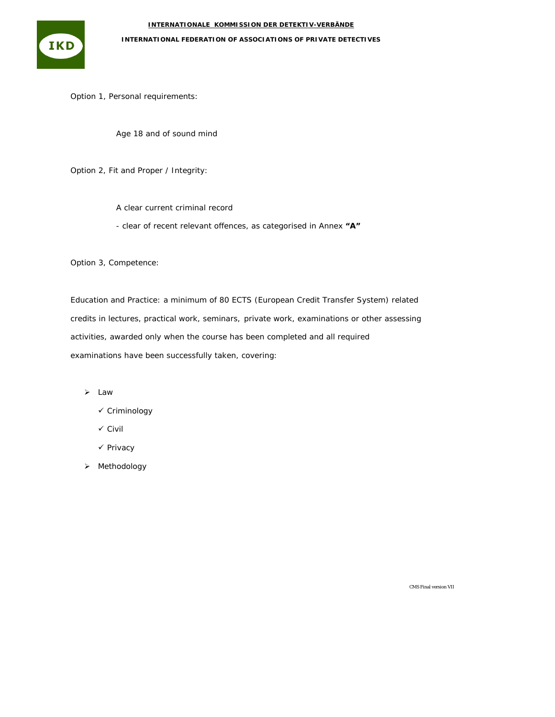**IKD** 

**INTERNATIONAL FEDERATION OF ASSOCIATIONS OF PRIVATE DETECTIVES**

Option 1, Personal requirements:

Age 18 and of sound mind

Option 2, Fit and Proper / Integrity:

A clear current criminal record

- clear of recent relevant offences, as categorised in Annex **"A"**

Option 3, Competence:

Education and Practice: a minimum of 80 ECTS (European Credit Transfer System) related credits in lectures, practical work, seminars, private work, examinations or other assessing activities, awarded only when the course has been completed and all required examinations have been successfully taken, covering:

- ¾ Law
	- $\checkmark$  Criminology
	- $\checkmark$  Civil
	- √ Privacy
- ¾ Methodology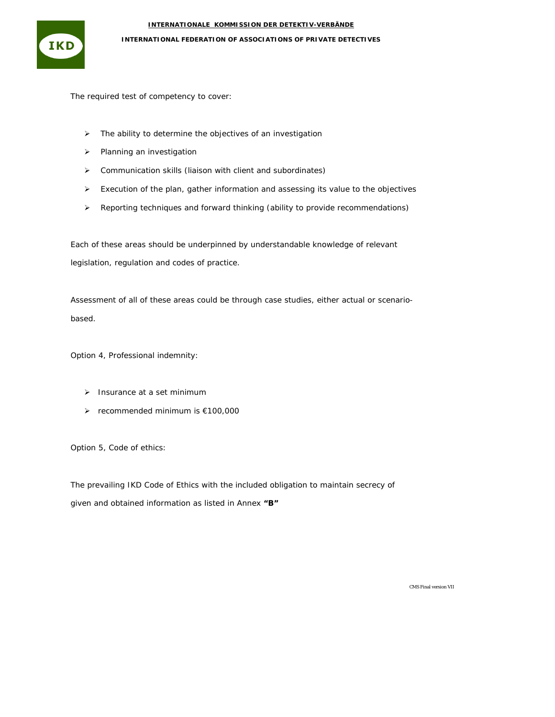

**INTERNATIONAL FEDERATION OF ASSOCIATIONS OF PRIVATE DETECTIVES**

The required test of competency to cover:

- ¾ The ability to determine the objectives of an investigation
- ¾ Planning an investigation
- ¾ Communication skills (liaison with client and subordinates)
- ¾ Execution of the plan, gather information and assessing its value to the objectives
- $\triangleright$  Reporting techniques and forward thinking (ability to provide recommendations)

Each of these areas should be underpinned by understandable knowledge of relevant legislation, regulation and codes of practice.

Assessment of all of these areas could be through case studies, either actual or scenariobased.

Option 4, Professional indemnity:

- $\blacktriangleright$  Insurance at a set minimum
- ¾ recommended minimum is €100,000

Option 5, Code of ethics:

The prevailing IKD Code of Ethics with the included obligation to maintain secrecy of given and obtained information as listed in Annex **"B"**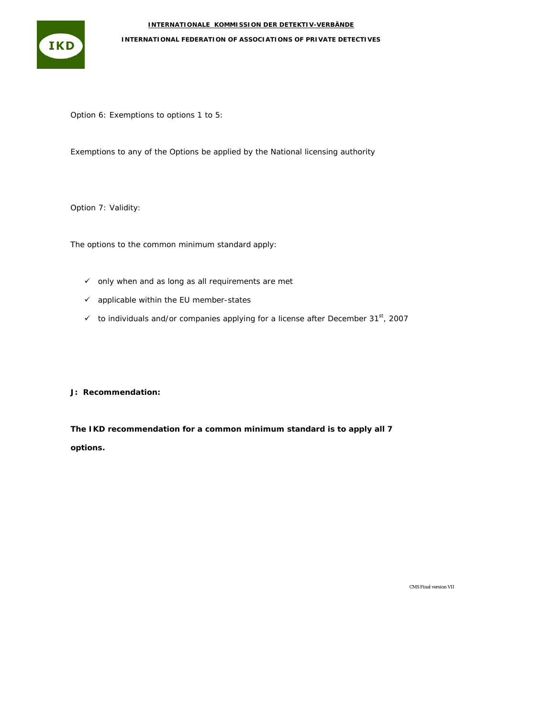

**INTERNATIONAL FEDERATION OF ASSOCIATIONS OF PRIVATE DETECTIVES**

Option 6: Exemptions to options 1 to 5:

Exemptions to any of the Options be applied by the National licensing authority

Option 7: Validity:

The options to the common minimum standard apply:

- $\checkmark$  only when and as long as all requirements are met
- $\checkmark$  applicable within the EU member-states
- $\checkmark$  to individuals and/or companies applying for a license after December 31st, 2007

**J: Recommendation:** 

**The IKD recommendation for a common minimum standard is to apply all 7 options.**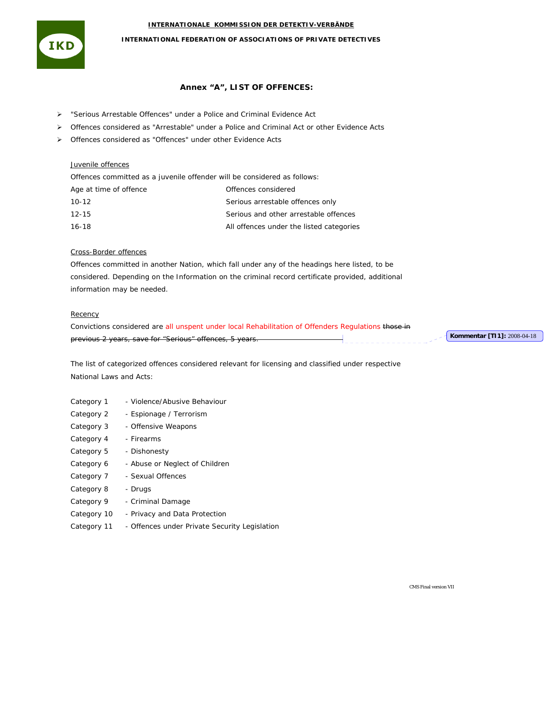

## **INTERNATIONAL FEDERATION OF ASSOCIATIONS OF PRIVATE DETECTIVES**

#### **Annex "A", LIST OF OFFENCES:**

- ¾ "Serious Arrestable Offences" under a Police and Criminal Evidence Act
- ¾ Offences considered as "Arrestable" under a Police and Criminal Act or other Evidence Acts
- ¾ Offences considered as "Offences" under other Evidence Acts

### Juvenile offences

Offences committed as a juvenile offender will be considered as follows:

| Age at time of offence | Offences considered                      |
|------------------------|------------------------------------------|
| 10-12                  | Serious arrestable offences only         |
| $12 - 15$              | Serious and other arrestable offences    |
| 16-18                  | All offences under the listed categories |

#### Cross-Border offences

Offences committed in another Nation, which fall under any of the headings here listed, to be considered. Depending on the Information on the criminal record certificate provided, additional information may be needed.

## **Recency**

Convictions considered are all unspent under local Rehabilitation of Offenders Regulations those in previous 2 years, save for "Serious" offences, 5 years. **Kommentar [TI1]:** 2008-04-18

The list of categorized offences considered relevant for licensing and classified under respective National Laws and Acts:

- Category 1 Violence/Abusive Behaviour
- Category 2 Espionage / Terrorism
- Category 3 Offensive Weapons Category 4 - Firearms
- 
- Category 5 Dishonesty
- Category 6 Abuse or Neglect of Children
- Category 7 Sexual Offences
- Category 8 Drugs
- Category 9 Criminal Damage
- Category 10 Privacy and Data Protection
- Category 11 Offences under Private Security Legislation